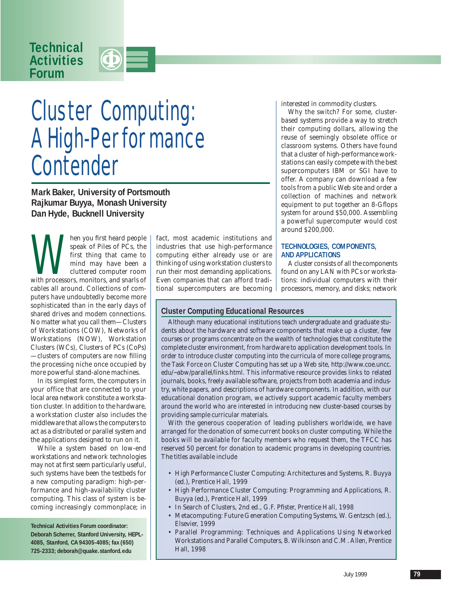## **Technical Activities Forum**



# Cluster Computing: A High-Performance **Contender**

**Mark Baker, University of Portsmouth Rajkumar Buyya, Monash University Dan Hyde, Bucknell University**

hen you first heard people<br>speak of Piles of PCs, the<br>first thing that came to<br>mind may have been a<br>cluttered computer room<br>with processors, monitors, and snarls of speak of Piles of PCs, the first thing that came to mind may have been a cluttered computer room cables all around. Collections of computers have undoubtedly become more sophisticated than in the early days of shared drives and modem connections. No matter what you call them—Clusters of Workstations (COW), Networks of Workstations (NOW), Workstation Clusters (WCs), Clusters of PCs (CoPs) —clusters of computers are now filling the processing niche once occupied by more powerful stand-alone machines.

In its simplest form, the computers in your office that are connected to your local area network constitute a workstation cluster. In addition to the hardware, a workstation cluster also includes the middleware that allows the computers to act as a distributed or parallel system and the applications designed to run on it.

While a system based on low-end workstations and network technologies may not at first seem particularly useful, such systems have been the testbeds for a new computing paradigm: high-performance and high-availability cluster computing. This class of system is becoming increasingly commonplace; in

**Technical Activities Forum coordinator: Deborah Scherrer, Stanford University, HEPL-4085, Stanford, CA 94305-4085; fax (650) 725-2333; deborah@quake.stanford.edu**

fact, most academic institutions and industries that use high-performance computing either already use or are thinking of using workstation clusters to run their most demanding applications. Even companies that can afford traditional supercomputers are becoming interested in commodity clusters.

Why the switch? For some, clusterbased systems provide a way to stretch their computing dollars, allowing the reuse of seemingly obsolete office or classroom systems. Others have found that a cluster of high-performance workstations can easily compete with the best supercomputers IBM or SGI have to offer. A company can download a few tools from a public Web site and order a collection of machines and network equipment to put together an 8-Gflops system for around \$50,000. Assembling a powerful supercomputer would cost around \$200,000.

#### **TECHNOLOGIES, COMPONENTS, AND APPLICATIONS**

A cluster consists of all the components found on any LAN with PCs or workstations: individual computers with their processors, memory, and disks; network

### **Cluster Computing Educational Resources**

Although many educational institutions teach undergraduate and graduate students about the hardware and software components that make up a cluster, few courses or programs concentrate on the wealth of technologies that constitute the complete cluster environment, from hardware to application development tools. In order to introduce cluster computing into the curricula of more college programs, the Task Force on Cluster Computing has set up a Web site, http://www.coe.uncc. edu/~abw/parallel/links.html. This informative resource provides links to related journals, books, freely available software, projects from both academia and industry, white papers, and descriptions of hardware components. In addition, with our educational donation program, we actively support academic faculty members around the world who are interested in introducing new cluster-based courses by providing sample curricular materials.

With the generous cooperation of leading publishers worldwide, we have arranged for the donation of some current books on cluster computing. While the books will be available for faculty members who request them, the TFCC has reserved 50 percent for donation to academic programs in developing countries. The titles available include

- *High Performance Cluster Computing: Architectures and Systems*, R. Buyya (ed.), Prentice Hall, 1999
- *High Performance Cluster Computing: Programming and Applications*, R. Buyya (ed.), Prentice Hall, 1999
- *In Search of Clusters*, 2nd ed., G.F. Pfister, Prentice Hall, 1998
- *Metacomputing: Future Generation Computing Systems*, W. Gentzsch (ed.), Elsevier, 1999
- *Parallel Programming: Techniques and Applications Using Networked Workstations and Parallel Computers*, B. Wilkinson and C.M. Allen, Prentice Hall, 1998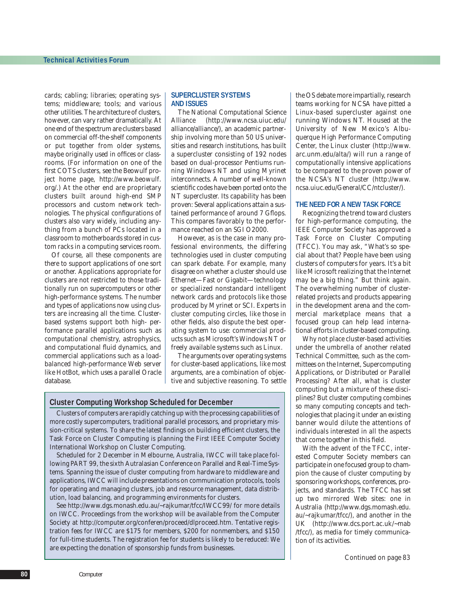cards; cabling; libraries; operating systems; middleware; tools; and various other utilities. The architecture of clusters, however, can vary rather dramatically. At one end of the spectrum are clusters based on commercial off-the-shelf components or put together from older systems, maybe originally used in offices or classrooms. (For information on one of the first COTS clusters, see the Beowulf project home page, http://www.beowulf. org/.) At the other end are proprietary clusters built around high-end SMP processors and custom network technologies. The physical configurations of clusters also vary widely, including anything from a bunch of PCs located in a classroom to motherboards stored in custom racks in a computing services room.

Of course, all these components are there to support applications of one sort or another. Applications appropriate for clusters are not restricted to those traditionally run on supercomputers or other high-performance systems. The number and types of applications now using clusters are increasing all the time. Clusterbased systems support both high- performance parallel applications such as computational chemistry, astrophysics, and computational fluid dynamics, and commercial applications such as a loadbalanced high-performance Web server like HotBot, which uses a parallel Oracle database.

#### **SUPERCLUSTER SYSTEMS AND ISSUES**

The National Computational Science Alliance (http://www.ncsa.uiuc.edu/ alliance/alliance/), an academic partnership involving more than 50 US universities and research institutions, has built a supercluster consisting of 192 nodes based on dual-processor Pentiums running Windows NT and using Myrinet interconnects. A number of well-known scientific codes have been ported onto the NT supercluster. Its capability has been proven: Several applications attain a sustained performance of around 7 Gflops. This compares favorably to the performance reached on an SGI O2000.

However, as is the case in many professional environments, the differing technologies used in cluster computing can spark debate. For example, many disagree on whether a cluster should use Ethernet—Fast or Gigabit—technology or specialized nonstandard intelligent network cards and protocols like those produced by Myrinet or SCI. Experts in cluster computing circles, like those in other fields, also dispute the best operating system to use: commercial products such as Microsoft's Windows NT or freely available systems such as Linux.

The arguments over operating systems for cluster-based applications, like most arguments, are a combination of objective and subjective reasoning. To settle

#### **Cluster Computing Workshop Scheduled for December**

Clusters of computers are rapidly catching up with the processing capabilities of more costly supercomputers, traditional parallel processors, and proprietary mission-critical systems. To share the latest findings on building efficient clusters, the Task Force on Cluster Computing is planning the First IEEE Computer Society International Workshop on Cluster Computing.

Scheduled for 2 December in Melbourne, Australia, IWCC will take place following PART 99, the sixth Autralasian Conference on Parallel and Real-Time Systems. Spanning the issue of cluster computing from hardware to middleware and applications, IWCC will include presentations on communication protocols, tools for operating and managing clusters, job and resource management, data distribution, load balancing, and programming environments for clusters.

See http://www.dgs.monash.edu.au/~rajkumar/tfcc/IWCC99/ for more details on IWCC. Proceedings from the workshop will be available from the Computer Society at http://computer.org/conferen/proceed/dlproceed.htm. Tentative registration fees for IWCC are \$175 for members, \$200 for nonmembers, and \$150 for full-time students. The registration fee for students is likely to be reduced: We are expecting the donation of sponsorship funds from businesses.

the OS debate more impartially, research teams working for NCSA have pitted a Linux-based supercluster against one running Windows NT. Housed at the University of New Mexico's Albuquerque High Performance Computing Center, the Linux cluster (http://www. arc.unm.edu/alta/) will run a range of computationally intensive applications to be compared to the proven power of the NCSA's NT cluster (http://www. ncsa.uiuc.edu/General/CC/ntcluster/).

#### **THE NEED FOR A NEW TASK FORCE**

Recognizing the trend toward clusters for high-performance computing, the IEEE Computer Society has approved a Task Force on Cluster Computing (TFCC). You may ask, "What's so special about that? People have been using clusters of computers for years. It's a bit like Microsoft realizing that the Internet may be a big thing." But think again. The overwhelming number of clusterrelated projects and products appearing in the development arena and the commercial marketplace means that a focused group can help lead international efforts in cluster-based computing.

Why not place cluster-based activities under the umbrella of another related Technical Committee, such as the committees on the Internet, Supercomputing Applications, or Distributed or Parallel Processing? After all, what is cluster computing but a mixture of these disciplines? But cluster computing combines so many computing concepts and technologies that placing it under an existing banner would dilute the attentions of individuals interested in all the aspects that come together in this field.

With the advent of the TFCC, interested Computer Society members can participate in one focused group to champion the cause of cluster computing by sponsoring workshops, conferences, projects, and standards. The TFCC has set up two mirrored Web sites: one in Australia (http://www.dgs.momash.edu. au/~rajkumar/tfcc/), and another in the UK (http://www.dcs.port.ac.uk/~mab /tfcc/), as media for timely communication of its activities.